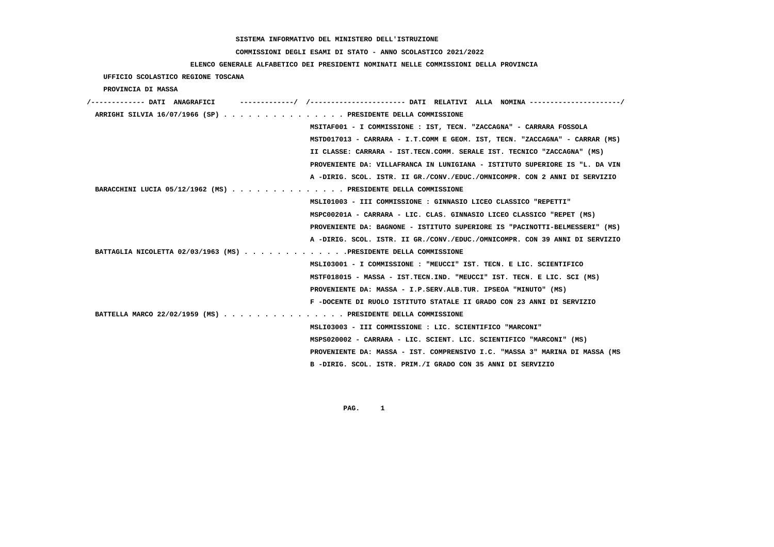# **COMMISSIONI DEGLI ESAMI DI STATO - ANNO SCOLASTICO 2021/2022**

# **ELENCO GENERALE ALFABETICO DEI PRESIDENTI NOMINATI NELLE COMMISSIONI DELLA PROVINCIA**

 **UFFICIO SCOLASTICO REGIONE TOSCANA**

 **PROVINCIA DI MASSA**

| /------------- DATI ANAGRAFICI                                   | ----------/ /---------------------- DATI RELATIVI ALLA NOMINA --------      |
|------------------------------------------------------------------|-----------------------------------------------------------------------------|
| ARRIGHI SILVIA 16/07/1966 (SP) PRESIDENTE DELLA COMMISSIONE      |                                                                             |
|                                                                  | MSITAF001 - I COMMISSIONE : IST, TECN. "ZACCAGNA" - CARRARA FOSSOLA         |
|                                                                  | MSTD017013 - CARRARA - I.T.COMM E GEOM. IST, TECN. "ZACCAGNA" - CARRAR (MS) |
|                                                                  | II CLASSE: CARRARA - IST. TECN. COMM. SERALE IST. TECNICO "ZACCAGNA" (MS)   |
|                                                                  | PROVENIENTE DA: VILLAFRANCA IN LUNIGIANA - ISTITUTO SUPERIORE IS "L. DA VIN |
|                                                                  | A -DIRIG. SCOL. ISTR. II GR./CONV./EDUC./OMNICOMPR. CON 2 ANNI DI SERVIZIO  |
| BARACCHINI LUCIA 05/12/1962 (MS) PRESIDENTE DELLA COMMISSIONE    |                                                                             |
|                                                                  | MSLI01003 - III COMMISSIONE : GINNASIO LICEO CLASSICO "REPETTI"             |
|                                                                  | MSPC00201A - CARRARA - LIC. CLAS. GINNASIO LICEO CLASSICO "REPET (MS)       |
|                                                                  | PROVENIENTE DA: BAGNONE - ISTITUTO SUPERIORE IS "PACINOTTI-BELMESSERI" (MS) |
|                                                                  | A -DIRIG. SCOL. ISTR. II GR./CONV./EDUC./OMNICOMPR. CON 39 ANNI DI SERVIZIO |
| BATTAGLIA NICOLETTA 02/03/1963 (MS) PRESIDENTE DELLA COMMISSIONE |                                                                             |
|                                                                  | MSLI03001 - I COMMISSIONE : "MEUCCI" IST. TECN. E LIC. SCIENTIFICO          |
|                                                                  | MSTF018015 - MASSA - IST.TECN.IND. "MEUCCI" IST. TECN. E LIC. SCI (MS)      |
|                                                                  | PROVENIENTE DA: MASSA - I.P.SERV.ALB.TUR. IPSEOA "MINUTO" (MS)              |
|                                                                  | F -DOCENTE DI RUOLO ISTITUTO STATALE II GRADO CON 23 ANNI DI SERVIZIO       |
| BATTELLA MARCO 22/02/1959 (MS) PRESIDENTE DELLA COMMISSIONE      |                                                                             |
|                                                                  | MSLI03003 - III COMMISSIONE : LIC. SCIENTIFICO "MARCONI"                    |
|                                                                  | MSPS020002 - CARRARA - LIC. SCIENT. LIC. SCIENTIFICO "MARCONI" (MS)         |
|                                                                  | PROVENIENTE DA: MASSA - IST. COMPRENSIVO I.C. "MASSA 3" MARINA DI MASSA (MS |
|                                                                  | B -DIRIG. SCOL. ISTR. PRIM./I GRADO CON 35 ANNI DI SERVIZIO                 |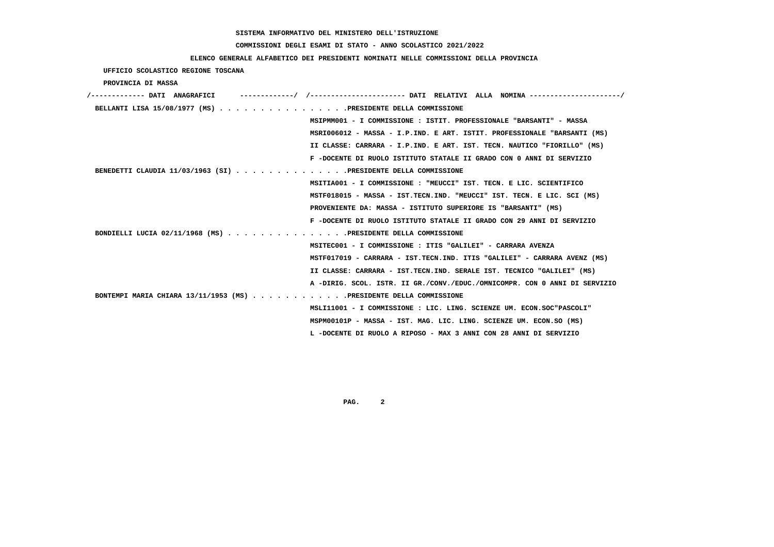# **COMMISSIONI DEGLI ESAMI DI STATO - ANNO SCOLASTICO 2021/2022**

# **ELENCO GENERALE ALFABETICO DEI PRESIDENTI NOMINATI NELLE COMMISSIONI DELLA PROVINCIA**

 **UFFICIO SCOLASTICO REGIONE TOSCANA**

 **PROVINCIA DI MASSA**

| /------------- DATI ANAGRAFICI<br>-----------/ /---------------------- DATI RELATIVI ALLA NOMINA --------------------/ |
|------------------------------------------------------------------------------------------------------------------------|
| BELLANTI LISA 15/08/1977 (MS) PRESIDENTE DELLA COMMISSIONE                                                             |
| MSIPMM001 - I COMMISSIONE : ISTIT. PROFESSIONALE "BARSANTI" - MASSA                                                    |
| MSRI006012 - MASSA - I.P.IND. E ART. ISTIT. PROFESSIONALE "BARSANTI (MS)                                               |
| II CLASSE: CARRARA - I.P.IND. E ART. IST. TECN. NAUTICO "FIORILLO" (MS)                                                |
| F -DOCENTE DI RUOLO ISTITUTO STATALE II GRADO CON 0 ANNI DI SERVIZIO                                                   |
| BENEDETTI CLAUDIA 11/03/1963 (SI) PRESIDENTE DELLA COMMISSIONE                                                         |
| MSITIA001 - I COMMISSIONE : "MEUCCI" IST. TECN. E LIC. SCIENTIFICO                                                     |
| MSTF018015 - MASSA - IST.TECN.IND. "MEUCCI" IST. TECN. E LIC. SCI (MS)                                                 |
| PROVENIENTE DA: MASSA - ISTITUTO SUPERIORE IS "BARSANTI" (MS)                                                          |
| F -DOCENTE DI RUOLO ISTITUTO STATALE II GRADO CON 29 ANNI DI SERVIZIO                                                  |
| BONDIELLI LUCIA 02/11/1968 (MS) PRESIDENTE DELLA COMMISSIONE                                                           |
| MSITEC001 - I COMMISSIONE : ITIS "GALILEI" - CARRARA AVENZA                                                            |
| MSTF017019 - CARRARA - IST.TECN.IND. ITIS "GALILEI" - CARRARA AVENZ (MS)                                               |
| II CLASSE: CARRARA - IST.TECN.IND. SERALE IST. TECNICO "GALILEI" (MS)                                                  |
| A -DIRIG. SCOL. ISTR. II GR./CONV./EDUC./OMNICOMPR. CON 0 ANNI DI SERVIZIO                                             |
| BONTEMPI MARIA CHIARA 13/11/1953 (MS) PRESIDENTE DELLA COMMISSIONE                                                     |
| MSLI11001 - I COMMISSIONE : LIC. LING. SCIENZE UM. ECON.SOC"PASCOLI"                                                   |
| MSPM00101P - MASSA - IST. MAG. LIC. LING. SCIENZE UM. ECON.SO (MS)                                                     |
| L -DOCENTE DI RUOLO A RIPOSO - MAX 3 ANNI CON 28 ANNI DI SERVIZIO                                                      |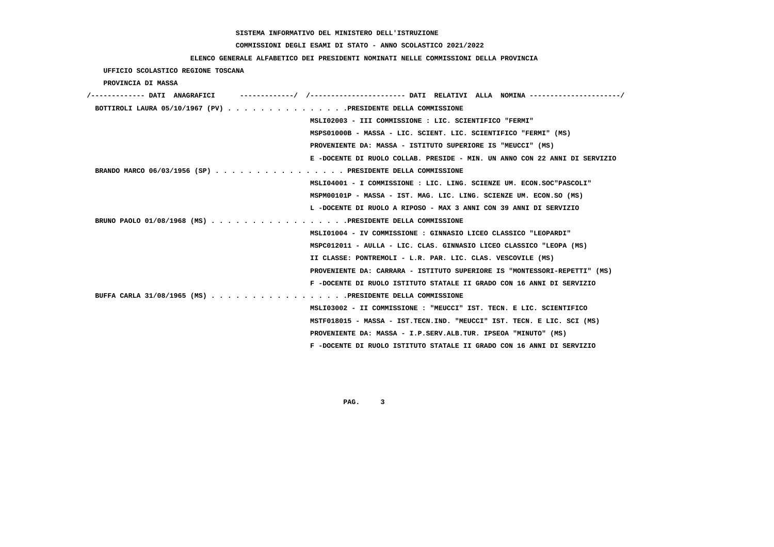# **COMMISSIONI DEGLI ESAMI DI STATO - ANNO SCOLASTICO 2021/2022**

# **ELENCO GENERALE ALFABETICO DEI PRESIDENTI NOMINATI NELLE COMMISSIONI DELLA PROVINCIA**

 **UFFICIO SCOLASTICO REGIONE TOSCANA**

 **PROVINCIA DI MASSA**

| ----------/ /--------------------- DATI RELATIVI ALLA NOMINA --------------------/<br>/------------- DATI ANAGRAFICI |
|----------------------------------------------------------------------------------------------------------------------|
| BOTTIROLI LAURA 05/10/1967 (PV) PRESIDENTE DELLA COMMISSIONE                                                         |
| MSLI02003 - III COMMISSIONE : LIC. SCIENTIFICO "FERMI"                                                               |
| MSPS01000B - MASSA - LIC. SCIENT. LIC. SCIENTIFICO "FERMI" (MS)                                                      |
| PROVENIENTE DA: MASSA - ISTITUTO SUPERIORE IS "MEUCCI" (MS)                                                          |
| E -DOCENTE DI RUOLO COLLAB. PRESIDE - MIN. UN ANNO CON 22 ANNI DI SERVIZIO                                           |
| BRANDO MARCO 06/03/1956 (SP) PRESIDENTE DELLA COMMISSIONE                                                            |
| MSLI04001 - I COMMISSIONE : LIC. LING. SCIENZE UM. ECON.SOC"PASCOLI"                                                 |
| MSPM00101P - MASSA - IST. MAG. LIC. LING. SCIENZE UM. ECON.SO (MS)                                                   |
| L -DOCENTE DI RUOLO A RIPOSO - MAX 3 ANNI CON 39 ANNI DI SERVIZIO                                                    |
| BRUNO PAOLO 01/08/1968 (MS) PRESIDENTE DELLA COMMISSIONE                                                             |
| MSLI01004 - IV COMMISSIONE : GINNASIO LICEO CLASSICO "LEOPARDI"                                                      |
| MSPC012011 - AULLA - LIC. CLAS. GINNASIO LICEO CLASSICO "LEOPA (MS)                                                  |
| II CLASSE: PONTREMOLI - L.R. PAR. LIC. CLAS. VESCOVILE (MS)                                                          |
| PROVENIENTE DA: CARRARA - ISTITUTO SUPERIORE IS "MONTESSORI-REPETTI" (MS)                                            |
| F -DOCENTE DI RUOLO ISTITUTO STATALE II GRADO CON 16 ANNI DI SERVIZIO                                                |
| BUFFA CARLA 31/08/1965 (MS) PRESIDENTE DELLA COMMISSIONE                                                             |
| MSLI03002 - II COMMISSIONE : "MEUCCI" IST. TECN. E LIC. SCIENTIFICO                                                  |
| MSTF018015 - MASSA - IST.TECN.IND. "MEUCCI" IST. TECN. E LIC. SCI (MS)                                               |
| PROVENIENTE DA: MASSA - I.P.SERV.ALB.TUR. IPSEOA "MINUTO" (MS)                                                       |
| F -DOCENTE DI RUOLO ISTITUTO STATALE II GRADO CON 16 ANNI DI SERVIZIO                                                |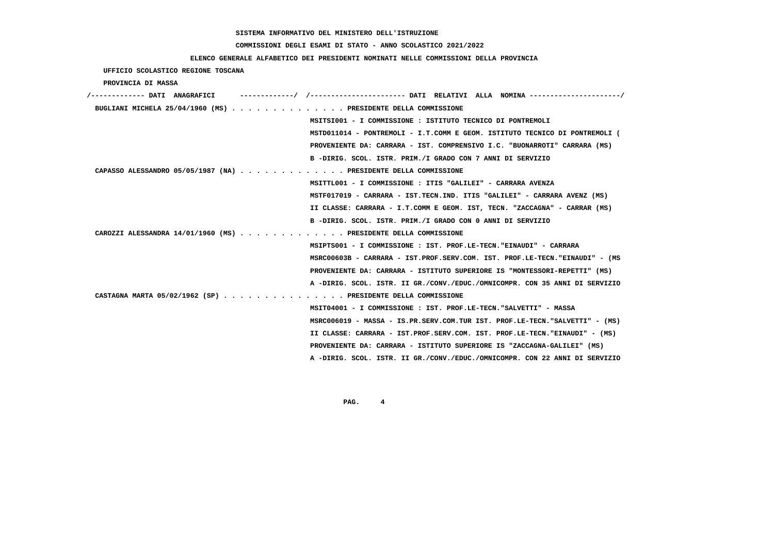# **COMMISSIONI DEGLI ESAMI DI STATO - ANNO SCOLASTICO 2021/2022**

# **ELENCO GENERALE ALFABETICO DEI PRESIDENTI NOMINATI NELLE COMMISSIONI DELLA PROVINCIA**

 **UFFICIO SCOLASTICO REGIONE TOSCANA**

 **PROVINCIA DI MASSA**

| /------------- DATI ANAGRAFICI                                                        | ---------/ /--------------------- DATI RELATIVI ALLA NOMINA--------------------/ |
|---------------------------------------------------------------------------------------|----------------------------------------------------------------------------------|
| BUGLIANI MICHELA 25/04/1960 (MS) $\ldots$ ,,,,,,,,,,,,,,,PRESIDENTE DELLA COMMISSIONE |                                                                                  |
|                                                                                       | MSITSI001 - I COMMISSIONE : ISTITUTO TECNICO DI PONTREMOLI                       |
|                                                                                       | MSTD011014 - PONTREMOLI - I.T.COMM E GEOM. ISTITUTO TECNICO DI PONTREMOLI (      |
|                                                                                       | PROVENIENTE DA: CARRARA - IST. COMPRENSIVO I.C. "BUONARROTI" CARRARA (MS)        |
|                                                                                       | B -DIRIG. SCOL. ISTR. PRIM./I GRADO CON 7 ANNI DI SERVIZIO                       |
| CAPASSO ALESSANDRO 05/05/1987 (NA) PRESIDENTE DELLA COMMISSIONE                       |                                                                                  |
|                                                                                       | MSITTL001 - I COMMISSIONE : ITIS "GALILEI" - CARRARA AVENZA                      |
|                                                                                       | MSTF017019 - CARRARA - IST.TECN.IND. ITIS "GALILEI" - CARRARA AVENZ (MS)         |
|                                                                                       | II CLASSE: CARRARA - I.T.COMM E GEOM. IST, TECN. "ZACCAGNA" - CARRAR (MS)        |
|                                                                                       | B -DIRIG. SCOL. ISTR. PRIM./I GRADO CON 0 ANNI DI SERVIZIO                       |
| CAROZZI ALESSANDRA $14/01/1960$ (MS) PRESIDENTE DELLA COMMISSIONE                     |                                                                                  |
|                                                                                       | MSIPTS001 - I COMMISSIONE : IST. PROF.LE-TECN. "EINAUDI" - CARRARA               |
|                                                                                       | MSRC00603B - CARRARA - IST.PROF.SERV.COM. IST. PROF.LE-TECN."EINAUDI" - (MS      |
|                                                                                       | PROVENIENTE DA: CARRARA - ISTITUTO SUPERIORE IS "MONTESSORI-REPETTI" (MS)        |
|                                                                                       | A -DIRIG. SCOL. ISTR. II GR./CONV./EDUC./OMNICOMPR. CON 35 ANNI DI SERVIZIO      |
| CASTAGNA MARTA $05/02/1962$ (SP) PRESIDENTE DELLA COMMISSIONE                         |                                                                                  |
|                                                                                       | MSIT04001 - I COMMISSIONE : IST. PROF.LE-TECN. "SALVETTI" - MASSA                |
|                                                                                       | MSRC006019 - MASSA - IS.PR.SERV.COM.TUR IST. PROF.LE-TECN."SALVETTI" - (MS)      |
|                                                                                       | II CLASSE: CARRARA - IST.PROF.SERV.COM. IST. PROF.LE-TECN."EINAUDI" - (MS)       |
|                                                                                       | PROVENIENTE DA: CARRARA - ISTITUTO SUPERIORE IS "ZACCAGNA-GALILEI" (MS)          |
|                                                                                       | A -DIRIG. SCOL. ISTR. II GR./CONV./EDUC./OMNICOMPR. CON 22 ANNI DI SERVIZIO      |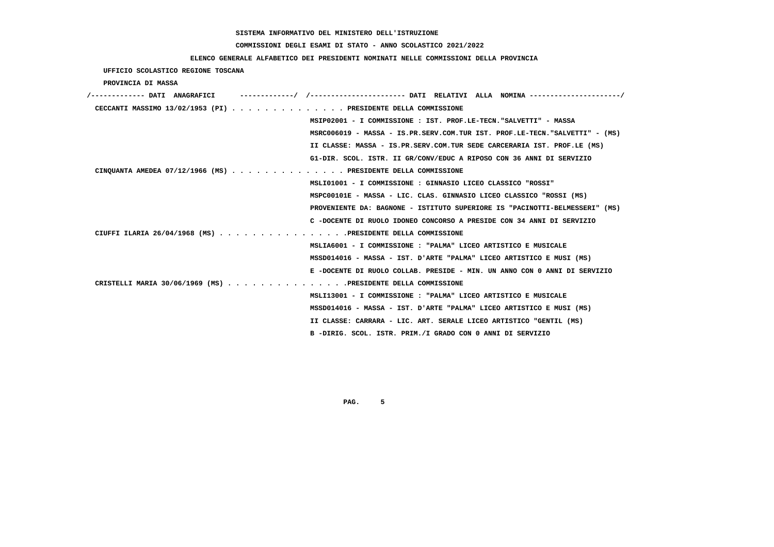# **COMMISSIONI DEGLI ESAMI DI STATO - ANNO SCOLASTICO 2021/2022**

# **ELENCO GENERALE ALFABETICO DEI PRESIDENTI NOMINATI NELLE COMMISSIONI DELLA PROVINCIA**

 **UFFICIO SCOLASTICO REGIONE TOSCANA**

 **PROVINCIA DI MASSA**

| /------------- DATI ANAGRAFICI | ----------/ /---------------------- DATI RELATIVI ALLA NOMINA --------------------/ |
|--------------------------------|-------------------------------------------------------------------------------------|
|                                | CECCANTI MASSIMO 13/02/1953 (PI) PRESIDENTE DELLA COMMISSIONE                       |
|                                | MSIP02001 - I COMMISSIONE : IST. PROF.LE-TECN. "SALVETTI" - MASSA                   |
|                                | MSRC006019 - MASSA - IS.PR.SERV.COM.TUR IST. PROF.LE-TECN."SALVETTI" - (MS)         |
|                                | II CLASSE: MASSA - IS.PR.SERV.COM.TUR SEDE CARCERARIA IST. PROF.LE (MS)             |
|                                | G1-DIR. SCOL. ISTR. II GR/CONV/EDUC A RIPOSO CON 36 ANNI DI SERVIZIO                |
|                                | CINQUANTA AMEDEA 07/12/1966 (MS) PRESIDENTE DELLA COMMISSIONE                       |
|                                | MSLI01001 - I COMMISSIONE : GINNASIO LICEO CLASSICO "ROSSI"                         |
|                                | MSPC00101E - MASSA - LIC. CLAS. GINNASIO LICEO CLASSICO "ROSSI (MS)                 |
|                                | PROVENIENTE DA: BAGNONE - ISTITUTO SUPERIORE IS "PACINOTTI-BELMESSERI" (MS)         |
|                                | C -DOCENTE DI RUOLO IDONEO CONCORSO A PRESIDE CON 34 ANNI DI SERVIZIO               |
|                                | CIUFFI ILARIA 26/04/1968 (MS) PRESIDENTE DELLA COMMISSIONE                          |
|                                | MSLIA6001 - I COMMISSIONE : "PALMA" LICEO ARTISTICO E MUSICALE                      |
|                                | MSSD014016 - MASSA - IST. D'ARTE "PALMA" LICEO ARTISTICO E MUSI (MS)                |
|                                | E -DOCENTE DI RUOLO COLLAB. PRESIDE - MIN. UN ANNO CON 0 ANNI DI SERVIZIO           |
|                                | CRISTELLI MARIA 30/06/1969 (MS) PRESIDENTE DELLA COMMISSIONE                        |
|                                | MSLI13001 - I COMMISSIONE: "PALMA" LICEO ARTISTICO E MUSICALE                       |
|                                | MSSD014016 - MASSA - IST. D'ARTE "PALMA" LICEO ARTISTICO E MUSI (MS)                |
|                                | II CLASSE: CARRARA - LIC. ART. SERALE LICEO ARTISTICO "GENTIL (MS)                  |
|                                | B -DIRIG. SCOL. ISTR. PRIM./I GRADO CON 0 ANNI DI SERVIZIO                          |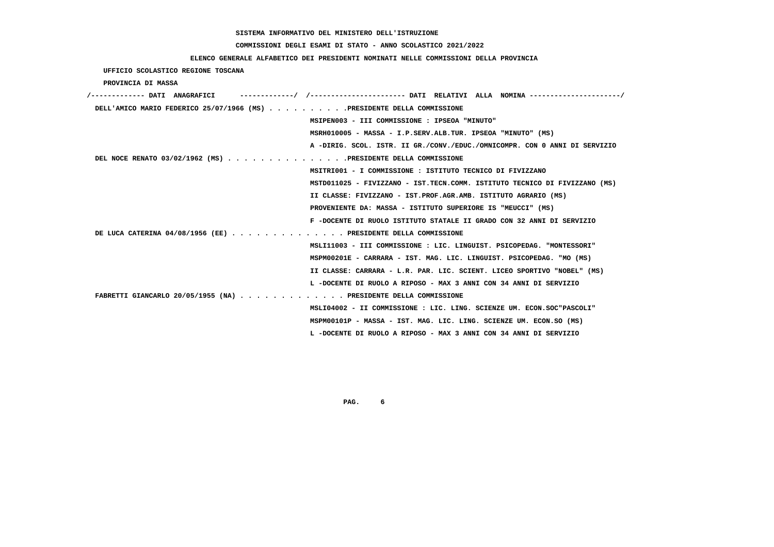#### **COMMISSIONI DEGLI ESAMI DI STATO - ANNO SCOLASTICO 2021/2022**

#### **ELENCO GENERALE ALFABETICO DEI PRESIDENTI NOMINATI NELLE COMMISSIONI DELLA PROVINCIA**

 **UFFICIO SCOLASTICO REGIONE TOSCANA PROVINCIA DI MASSA /------------- DATI ANAGRAFICI -------------/ /----------------------- DATI RELATIVI ALLA NOMINA ----------------------/ DELL'AMICO MARIO FEDERICO 25/07/1966 (MS) . . . . . . . . . .PRESIDENTE DELLA COMMISSIONE MSIPEN003 - III COMMISSIONE : IPSEOA "MINUTO" MSRH010005 - MASSA - I.P.SERV.ALB.TUR. IPSEOA "MINUTO" (MS) A -DIRIG. SCOL. ISTR. II GR./CONV./EDUC./OMNICOMPR. CON 0 ANNI DI SERVIZIO DEL NOCE RENATO 03/02/1962 (MS) . . . . . . . . . . . . . . .PRESIDENTE DELLA COMMISSIONE MSITRI001 - I COMMISSIONE : ISTITUTO TECNICO DI FIVIZZANO MSTD011025 - FIVIZZANO - IST.TECN.COMM. ISTITUTO TECNICO DI FIVIZZANO (MS) II CLASSE: FIVIZZANO - IST.PROF.AGR.AMB. ISTITUTO AGRARIO (MS) PROVENIENTE DA: MASSA - ISTITUTO SUPERIORE IS "MEUCCI" (MS) F -DOCENTE DI RUOLO ISTITUTO STATALE II GRADO CON 32 ANNI DI SERVIZIO DE LUCA CATERINA 04/08/1956 (EE) . . . . . . . . . . . . . . PRESIDENTE DELLA COMMISSIONE MSLI11003 - III COMMISSIONE : LIC. LINGUIST. PSICOPEDAG. "MONTESSORI" MSPM00201E - CARRARA - IST. MAG. LIC. LINGUIST. PSICOPEDAG. "MO (MS) II CLASSE: CARRARA - L.R. PAR. LIC. SCIENT. LICEO SPORTIVO "NOBEL" (MS) L -DOCENTE DI RUOLO A RIPOSO - MAX 3 ANNI CON 34 ANNI DI SERVIZIO FABRETTI GIANCARLO 20/05/1955 (NA) . . . . . . . . . . . . . PRESIDENTE DELLA COMMISSIONE MSLI04002 - II COMMISSIONE : LIC. LING. SCIENZE UM. ECON.SOC"PASCOLI" MSPM00101P - MASSA - IST. MAG. LIC. LING. SCIENZE UM. ECON.SO (MS) L -DOCENTE DI RUOLO A RIPOSO - MAX 3 ANNI CON 34 ANNI DI SERVIZIO**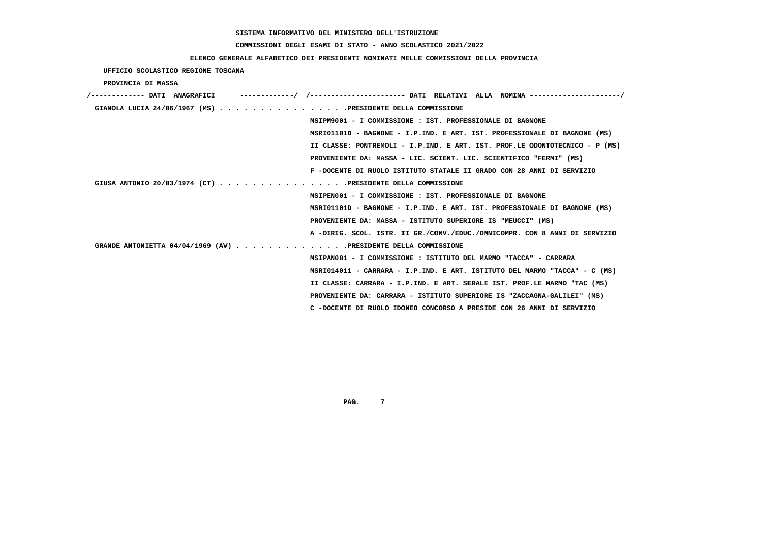# **COMMISSIONI DEGLI ESAMI DI STATO - ANNO SCOLASTICO 2021/2022**

# **ELENCO GENERALE ALFABETICO DEI PRESIDENTI NOMINATI NELLE COMMISSIONI DELLA PROVINCIA**

 **UFFICIO SCOLASTICO REGIONE TOSCANA**

 **PROVINCIA DI MASSA**

| /------------- DATI ANAGRAFICI | ----------/ /--------------------- DATI RELATIVI ALLA NOMINA --------------------/ |
|--------------------------------|------------------------------------------------------------------------------------|
|                                | GIANOLA LUCIA 24/06/1967 (MS) PRESIDENTE DELLA COMMISSIONE                         |
|                                | MSIPM9001 - I COMMISSIONE : IST. PROFESSIONALE DI BAGNONE                          |
|                                | MSRI01101D - BAGNONE - I.P.IND. E ART. IST. PROFESSIONALE DI BAGNONE (MS)          |
|                                | II CLASSE: PONTREMOLI - I.P.IND. E ART. IST. PROF.LE ODONTOTECNICO - P (MS)        |
|                                | PROVENIENTE DA: MASSA - LIC. SCIENT. LIC. SCIENTIFICO "FERMI" (MS)                 |
|                                | F -DOCENTE DI RUOLO ISTITUTO STATALE II GRADO CON 28 ANNI DI SERVIZIO              |
|                                | GIUSA ANTONIO 20/03/1974 (CT) PRESIDENTE DELLA COMMISSIONE                         |
|                                | MSIPEN001 - I COMMISSIONE : IST. PROFESSIONALE DI BAGNONE                          |
|                                | MSRI01101D - BAGNONE - I.P.IND. E ART. IST. PROFESSIONALE DI BAGNONE (MS)          |
|                                | PROVENIENTE DA: MASSA - ISTITUTO SUPERIORE IS "MEUCCI" (MS)                        |
|                                | A -DIRIG. SCOL. ISTR. II GR./CONV./EDUC./OMNICOMPR. CON 8 ANNI DI SERVIZIO         |
|                                | GRANDE ANTONIETTA 04/04/1969 (AV) PRESIDENTE DELLA COMMISSIONE                     |
|                                | MSIPAN001 - I COMMISSIONE : ISTITUTO DEL MARMO "TACCA" - CARRARA                   |
|                                | MSRI014011 - CARRARA - I.P.IND. E ART. ISTITUTO DEL MARMO "TACCA" - C (MS)         |
|                                | II CLASSE: CARRARA - I.P.IND. E ART. SERALE IST. PROF.LE MARMO "TAC (MS)           |
|                                | PROVENIENTE DA: CARRARA - ISTITUTO SUPERIORE IS "ZACCAGNA-GALILEI" (MS)            |
|                                | C -DOCENTE DI RUOLO IDONEO CONCORSO A PRESIDE CON 26 ANNI DI SERVIZIO              |
|                                |                                                                                    |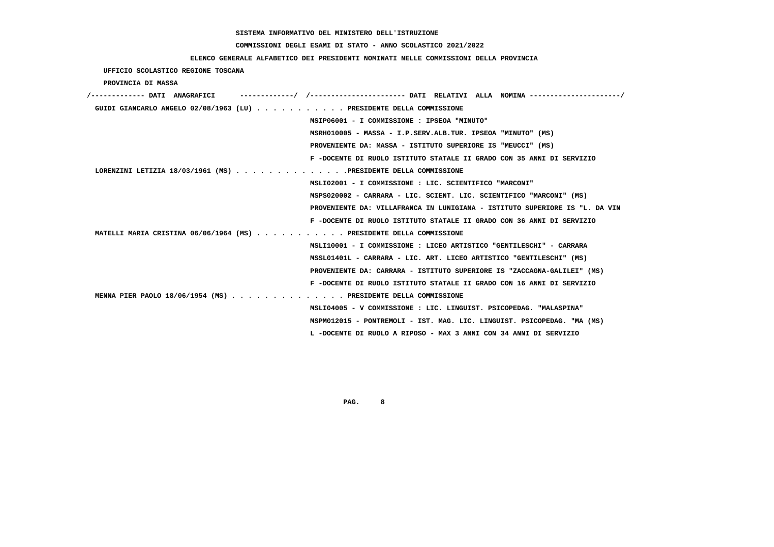# **COMMISSIONI DEGLI ESAMI DI STATO - ANNO SCOLASTICO 2021/2022**

# **ELENCO GENERALE ALFABETICO DEI PRESIDENTI NOMINATI NELLE COMMISSIONI DELLA PROVINCIA**

 **UFFICIO SCOLASTICO REGIONE TOSCANA**

 **PROVINCIA DI MASSA**

| /------------- DATI ANAGRAFICI | / /---------------------- DATI RELATIVI ALLA NOMINA ---------------------/  |
|--------------------------------|-----------------------------------------------------------------------------|
|                                | GUIDI GIANCARLO ANGELO 02/08/1963 (LU) PRESIDENTE DELLA COMMISSIONE         |
|                                | MSIP06001 - I COMMISSIONE : IPSEOA "MINUTO"                                 |
|                                | MSRH010005 - MASSA - I.P.SERV.ALB.TUR. IPSEOA "MINUTO" (MS)                 |
|                                | PROVENIENTE DA: MASSA - ISTITUTO SUPERIORE IS "MEUCCI" (MS)                 |
|                                | F -DOCENTE DI RUOLO ISTITUTO STATALE II GRADO CON 35 ANNI DI SERVIZIO       |
|                                | LORENZINI LETIZIA 18/03/1961 (MS) PRESIDENTE DELLA COMMISSIONE              |
|                                | MSLI02001 - I COMMISSIONE : LIC. SCIENTIFICO "MARCONI"                      |
|                                | MSPS020002 - CARRARA - LIC. SCIENT. LIC. SCIENTIFICO "MARCONI" (MS)         |
|                                | PROVENIENTE DA: VILLAFRANCA IN LUNIGIANA - ISTITUTO SUPERIORE IS "L. DA VIN |
|                                | F -DOCENTE DI RUOLO ISTITUTO STATALE II GRADO CON 36 ANNI DI SERVIZIO       |
|                                | MATELLI MARIA CRISTINA 06/06/1964 (MS) PRESIDENTE DELLA COMMISSIONE         |
|                                | MSLI10001 - I COMMISSIONE : LICEO ARTISTICO "GENTILESCHI" - CARRARA         |
|                                | MSSL01401L - CARRARA - LIC. ART. LICEO ARTISTICO "GENTILESCHI" (MS)         |
|                                | PROVENIENTE DA: CARRARA - ISTITUTO SUPERIORE IS "ZACCAGNA-GALILEI" (MS)     |
|                                | F -DOCENTE DI RUOLO ISTITUTO STATALE II GRADO CON 16 ANNI DI SERVIZIO       |
|                                | MENNA PIER PAOLO 18/06/1954 (MS) PRESIDENTE DELLA COMMISSIONE               |
|                                | MSLI04005 - V COMMISSIONE : LIC. LINGUIST. PSICOPEDAG. "MALASPINA"          |
|                                | MSPM012015 - PONTREMOLI - IST. MAG. LIC. LINGUIST. PSICOPEDAG. "MA (MS)     |
|                                | L -DOCENTE DI RUOLO A RIPOSO - MAX 3 ANNI CON 34 ANNI DI SERVIZIO           |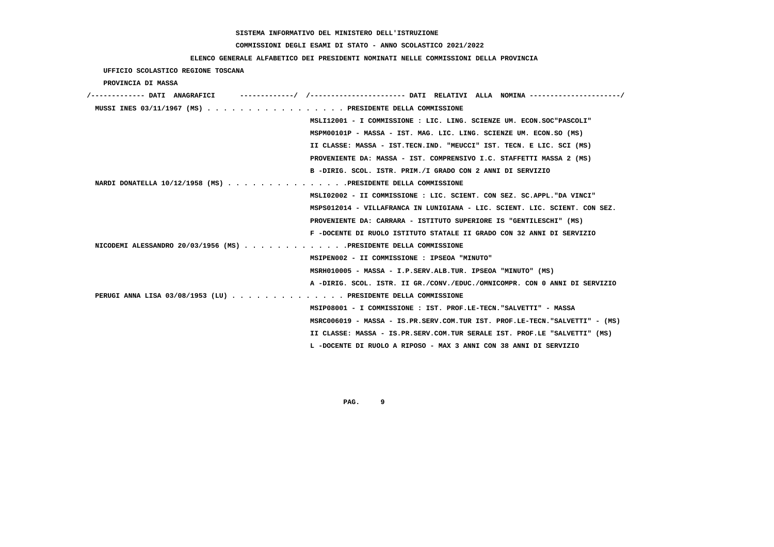# **COMMISSIONI DEGLI ESAMI DI STATO - ANNO SCOLASTICO 2021/2022**

| ELENCO GENERALE ALFABETICO DEI PRESIDENTI NOMINATI NELLE COMMISSIONI DELLA PROVINCIA      |
|-------------------------------------------------------------------------------------------|
| UFFICIO SCOLASTICO REGIONE TOSCANA                                                        |
| PROVINCIA DI MASSA                                                                        |
| /------------- DATI ANAGRAFICI                                                            |
| MUSSI INES 03/11/1967 (MS) PRESIDENTE DELLA COMMISSIONE                                   |
| MSLI12001 - I COMMISSIONE : LIC. LING. SCIENZE UM. ECON.SOC"PASCOLI"                      |
| MSPM00101P - MASSA - IST. MAG. LIC. LING. SCIENZE UM. ECON.SO (MS)                        |
| II CLASSE: MASSA - IST.TECN.IND. "MEUCCI" IST. TECN. E LIC. SCI (MS)                      |
| PROVENIENTE DA: MASSA - IST. COMPRENSIVO I.C. STAFFETTI MASSA 2 (MS)                      |
| B -DIRIG. SCOL. ISTR. PRIM./I GRADO CON 2 ANNI DI SERVIZIO                                |
| NARDI DONATELLA $10/12/1958$ (MS) $\ldots$ ,,,,,,,,,,,,,,,,,,PRESIDENTE DELLA COMMISSIONE |
| MSLI02002 - II COMMISSIONE : LIC. SCIENT. CON SEZ. SC.APPL. "DA VINCI"                    |
| MSPS012014 - VILLAFRANCA IN LUNIGIANA - LIC. SCIENT. LIC. SCIENT. CON SEZ.                |
| PROVENIENTE DA: CARRARA - ISTITUTO SUPERIORE IS "GENTILESCHI" (MS)                        |
| F -DOCENTE DI RUOLO ISTITUTO STATALE II GRADO CON 32 ANNI DI SERVIZIO                     |
| NICODEMI ALESSANDRO 20/03/1956 (MS) PRESIDENTE DELLA COMMISSIONE                          |
| MSIPEN002 - II COMMISSIONE : IPSEOA "MINUTO"                                              |
| MSRH010005 - MASSA - I.P.SERV.ALB.TUR. IPSEOA "MINUTO" (MS)                               |
| A -DIRIG. SCOL. ISTR. II GR./CONV./EDUC./OMNICOMPR. CON 0 ANNI DI SERVIZIO                |
| PERUGI ANNA LISA 03/08/1953 (LU) PRESIDENTE DELLA COMMISSIONE                             |
| MSIP08001 - I COMMISSIONE : IST. PROF.LE-TECN. "SALVETTI" - MASSA                         |
| MSRC006019 - MASSA - IS.PR.SERV.COM.TUR IST. PROF.LE-TECN."SALVETTI" - (MS)               |
| II CLASSE: MASSA - IS.PR.SERV.COM.TUR SERALE IST. PROF.LE "SALVETTI" (MS)                 |
| L -DOCENTE DI RUOLO A RIPOSO - MAX 3 ANNI CON 38 ANNI DI SERVIZIO                         |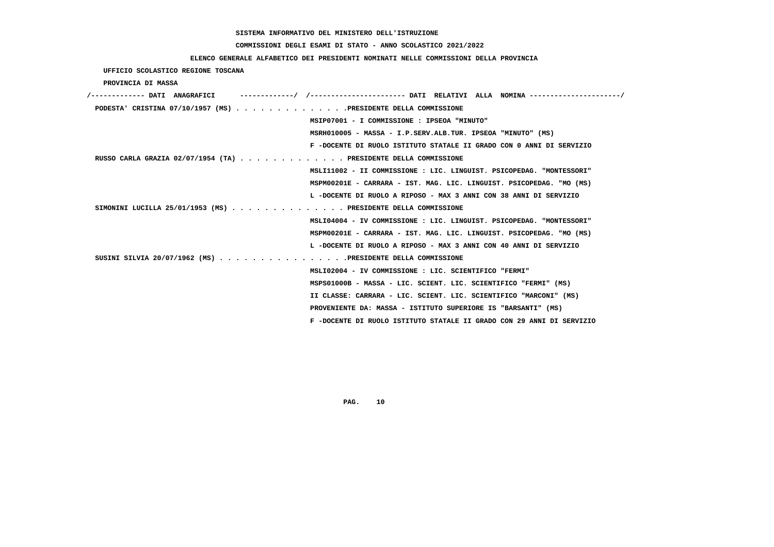#### **COMMISSIONI DEGLI ESAMI DI STATO - ANNO SCOLASTICO 2021/2022**

#### **ELENCO GENERALE ALFABETICO DEI PRESIDENTI NOMINATI NELLE COMMISSIONI DELLA PROVINCIA**

 **UFFICIO SCOLASTICO REGIONE TOSCANA PROVINCIA DI MASSA /------------- DATI ANAGRAFICI -------------/ /----------------------- DATI RELATIVI ALLA NOMINA ----------------------/ PODESTA' CRISTINA 07/10/1957 (MS) . . . . . . . . . . . . . .PRESIDENTE DELLA COMMISSIONE MSIP07001 - I COMMISSIONE : IPSEOA "MINUTO" MSRH010005 - MASSA - I.P.SERV.ALB.TUR. IPSEOA "MINUTO" (MS) F -DOCENTE DI RUOLO ISTITUTO STATALE II GRADO CON 0 ANNI DI SERVIZIO RUSSO CARLA GRAZIA 02/07/1954 (TA) . . . . . . . . . . . . . PRESIDENTE DELLA COMMISSIONE MSLI11002 - II COMMISSIONE : LIC. LINGUIST. PSICOPEDAG. "MONTESSORI" MSPM00201E - CARRARA - IST. MAG. LIC. LINGUIST. PSICOPEDAG. "MO (MS) L -DOCENTE DI RUOLO A RIPOSO - MAX 3 ANNI CON 38 ANNI DI SERVIZIO SIMONINI LUCILLA 25/01/1953 (MS) . . . . . . . . . . . . . . PRESIDENTE DELLA COMMISSIONE MSLI04004 - IV COMMISSIONE : LIC. LINGUIST. PSICOPEDAG. "MONTESSORI" MSPM00201E - CARRARA - IST. MAG. LIC. LINGUIST. PSICOPEDAG. "MO (MS) L -DOCENTE DI RUOLO A RIPOSO - MAX 3 ANNI CON 40 ANNI DI SERVIZIO SUSINI SILVIA 20/07/1962 (MS) . . . . . . . . . . . . . . . .PRESIDENTE DELLA COMMISSIONE MSLI02004 - IV COMMISSIONE : LIC. SCIENTIFICO "FERMI" MSPS01000B - MASSA - LIC. SCIENT. LIC. SCIENTIFICO "FERMI" (MS) II CLASSE: CARRARA - LIC. SCIENT. LIC. SCIENTIFICO "MARCONI" (MS) PROVENIENTE DA: MASSA - ISTITUTO SUPERIORE IS "BARSANTI" (MS) F -DOCENTE DI RUOLO ISTITUTO STATALE II GRADO CON 29 ANNI DI SERVIZIO**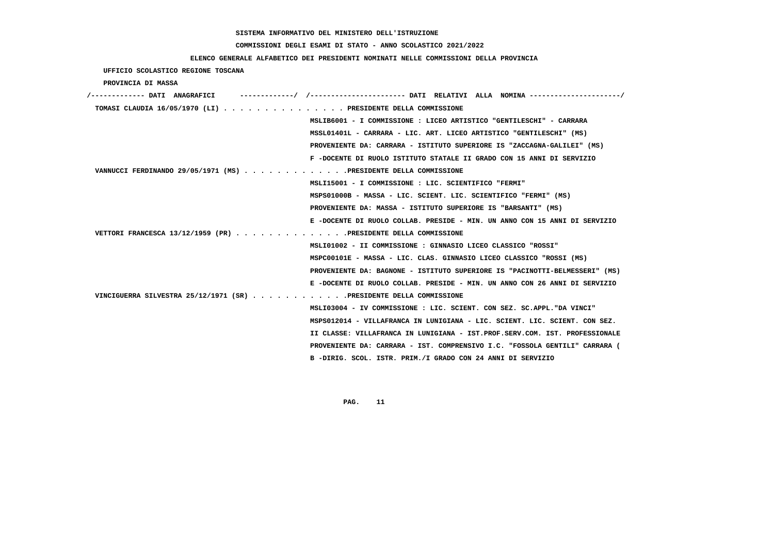# **COMMISSIONI DEGLI ESAMI DI STATO - ANNO SCOLASTICO 2021/2022**

# **ELENCO GENERALE ALFABETICO DEI PRESIDENTI NOMINATI NELLE COMMISSIONI DELLA PROVINCIA**

 **UFFICIO SCOLASTICO REGIONE TOSCANA**

 **PROVINCIA DI MASSA**

| /------------- DATI ANAGRAFICI                                     | ----------- DATI RELATIVI ALLA NOMINA ----------                            |
|--------------------------------------------------------------------|-----------------------------------------------------------------------------|
| TOMASI CLAUDIA 16/05/1970 (LI) PRESIDENTE DELLA COMMISSIONE        |                                                                             |
|                                                                    | MSLIB6001 - I COMMISSIONE : LICEO ARTISTICO "GENTILESCHI" - CARRARA         |
|                                                                    | MSSL01401L - CARRARA - LIC. ART. LICEO ARTISTICO "GENTILESCHI" (MS)         |
|                                                                    | PROVENIENTE DA: CARRARA - ISTITUTO SUPERIORE IS "ZACCAGNA-GALILEI" (MS)     |
|                                                                    | F -DOCENTE DI RUOLO ISTITUTO STATALE II GRADO CON 15 ANNI DI SERVIZIO       |
| VANNUCCI FERDINANDO 29/05/1971 (MS) PRESIDENTE DELLA COMMISSIONE   |                                                                             |
|                                                                    | MSLI15001 - I COMMISSIONE : LIC. SCIENTIFICO "FERMI"                        |
|                                                                    | MSPS01000B - MASSA - LIC. SCIENT. LIC. SCIENTIFICO "FERMI" (MS)             |
|                                                                    | PROVENIENTE DA: MASSA - ISTITUTO SUPERIORE IS "BARSANTI" (MS)               |
|                                                                    | E -DOCENTE DI RUOLO COLLAB. PRESIDE - MIN. UN ANNO CON 15 ANNI DI SERVIZIO  |
| VETTORI FRANCESCA 13/12/1959 (PR) PRESIDENTE DELLA COMMISSIONE     |                                                                             |
|                                                                    | MSLI01002 - II COMMISSIONE : GINNASIO LICEO CLASSICO "ROSSI"                |
|                                                                    | MSPC00101E - MASSA - LIC. CLAS. GINNASIO LICEO CLASSICO "ROSSI (MS)         |
|                                                                    | PROVENIENTE DA: BAGNONE - ISTITUTO SUPERIORE IS "PACINOTTI-BELMESSERI" (MS) |
|                                                                    | E -DOCENTE DI RUOLO COLLAB. PRESIDE - MIN. UN ANNO CON 26 ANNI DI SERVIZIO  |
| VINCIGUERRA SILVESTRA 25/12/1971 (SR) PRESIDENTE DELLA COMMISSIONE |                                                                             |
|                                                                    | MSLI03004 - IV COMMISSIONE : LIC. SCIENT. CON SEZ. SC.APPL. "DA VINCI"      |
|                                                                    | MSPS012014 - VILLAFRANCA IN LUNIGIANA - LIC. SCIENT. LIC. SCIENT. CON SEZ.  |
|                                                                    | II CLASSE: VILLAFRANCA IN LUNIGIANA - IST.PROF.SERV.COM. IST. PROFESSIONALE |
|                                                                    | PROVENIENTE DA: CARRARA - IST. COMPRENSIVO I.C. "FOSSOLA GENTILI" CARRARA ( |
|                                                                    | B -DIRIG. SCOL. ISTR. PRIM./I GRADO CON 24 ANNI DI SERVIZIO                 |